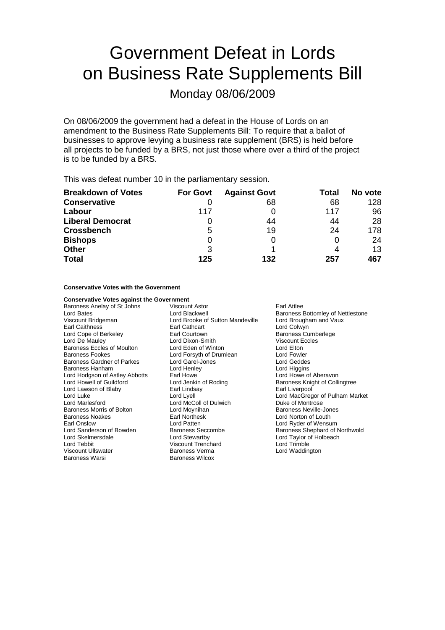# Government Defeat in Lords on Business Rate Supplements Bill

Monday 08/06/2009

On 08/06/2009 the government had a defeat in the House of Lords on an amendment to the Business Rate Supplements Bill: To require that a ballot of businesses to approve levying a business rate supplement (BRS) is held before all projects to be funded by a BRS, not just those where over a third of the project is to be funded by a BRS.

This was defeat number 10 in the parliamentary session.

| <b>Breakdown of Votes</b> | <b>For Govt</b> | <b>Against Govt</b> | Total | No vote |
|---------------------------|-----------------|---------------------|-------|---------|
| <b>Conservative</b>       |                 | 68                  | 68    | 128     |
| Labour                    | 117             |                     | 117   | 96      |
| <b>Liberal Democrat</b>   |                 | 44                  | 44    | 28      |
| <b>Crossbench</b>         | 5               | 19                  | 24    | 178     |
| <b>Bishops</b>            | 0               | 0                   |       | 24      |
| <b>Other</b>              | 3               |                     |       | 13      |
| <b>Total</b>              | 125             | 132                 | 257   | 467     |

**Conservative Votes with the Government**

**Conservative Votes against the Government**<br>Baroness Anelay of St Johns Viscount Astor Baroness Anelay of St Johns Viscount Astor Carl Attlee<br>
Lord Baroness<br>
Lord Blackwell Consults Baroness Viscount Bridgeman Lord Brooke of Sutton Mandeville Earl Caithness Earl Cathcart Lord Colwyn Lord Cope of Berkeley Earl Courtown<br>
Lord De Mauley Cumberlege Lord Dixon-Smith Baroness Eccles of Moulton Lord Eden of Winton Lord Elton Baroness Fookes **Lord Forsyth of Drumlean** Lord Fowler<br>Baroness Gardner of Parkes Lord Garel-Jones Lord Centre Lord Geddes Baroness Gardner of Parkes Lord Garel-Jones Cord Geddes<br>
Baroness Hanham Cord Henley Cord Henley Lord Higgins Baroness Hanham Lord Hodgson of Astley Abbotts Earl Howe Care and The Lord Howe of Aberavon<br>
Lord Howell of Guildford Coll<br>
Lord Jenkin of Roding Care Baroness Knight of Coll Lord Lawson of Blaby Lord Luke Lord Lyell Lord MacGregor of Pulham Market Lord Marlesford **Lord McColl of Dulwich** Duke of Montrose Baroness Morris of Bolton Lord Moynihan<br>Baroness Nexus Carl Northesk Lord Morton of Louth Earl Onslow **Earl Onslow**<br>
Lord Sanderson of Bowden **Exercise Section**<br>
Baroness Seccombe<br>
Baroness Shephard of I Lord Sanderson of Bowden Baroness Seccombe Baroness Shephard of Northwold<br>
Lord Skelmersdale Baroness Stewartby Baroness Shephard of Holbeach Lord Tebbit Viscount Trenchard Lord Trimble Viscount Ullswater The State Baroness Verma Communist Cord Waddington<br>
Baroness Warsi Communist Baroness Wilcox

Baroness Wilcox

Baroness Bottomley of Nettlestone<br>Lord Brougham and Vaux Viscount Eccles Lord Jenkin of Roding<br>
Earl Lindsav<br>
Earl Liverpool<br>
Earl Liverpool Baroness Noakes Earl Northesk Lord Norton of Louth Lord Taylor of Holbeach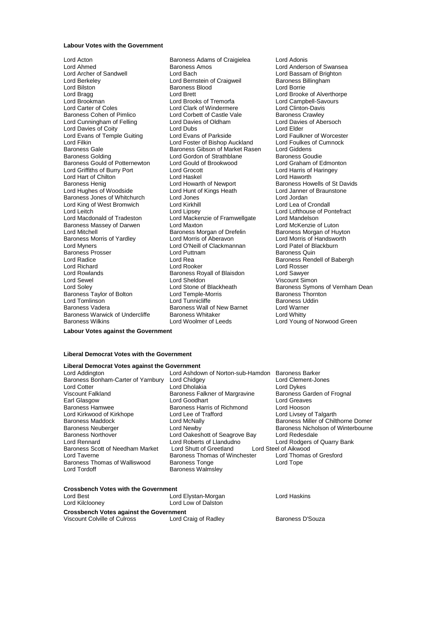### **Labour Votes with the Government**

Lord Acton Baroness Adams of Craigielea Lord Adonis Lord Ahmed **Baroness Amos** Cord Anderson of Swansea<br>
Lord Archer of Sandwell **Bach** Lord Bach **Lord Bassam of Brighton** Lord Archer of Sandwell **Lord Bach** Lord Bach Lord Bassam of Brighton<br>
Lord Barch Lord Bach Lord Bach Lord Bach Barchess Billingham Lord Bilston **Communist Baroness Blood Communist Communist Communist Communist Communist Communist Communist Co<br>
Lord Brook Lord Brook Lord Brook Lord Brook Lord Brook Lord Brook Lord Brook** Lord Bragg dentil Lord Brett Lord Brett Lord Brooke of Alverthorpe<br>
Lord Brookman Muslem Lord Brooks of Tremorfa<br>
Lord Brookman Muslem Lord Brooks of Tremorfa Lord Brooks of Tremorfa Lord Brooks of Tremorfa Lord Campbell-Savours Lord Campbell-Savours Lord Clinton-Davis Lord Carter of Coles<br>
Baroness Cohen of Pimlico<br>
Lord Corbett of Castle Vale Lord Cunningham of Felling Lord Davies of Oldham Lord Davies of Coldham Lord Davies of Coldham Lord Davies of Abersoche Lord Plater Lord Davies of Coity<br>
Lord Evans of Temple Guiting Lord Evans of Parkside<br>
Lord Evans of Temple Guiting Lord Evans of Parkside Lord Faulkner of Worcester Lord Evans of Temple Guiting Lord Evans of Parkside Lord Eaulkner of Worceste<br>Lord Filkin Lord Foster of Bishop Auckland Lord Foulkes of Cumnock Lord Filkin Lord Foster of Bishop Auckland Lord Foulkes of Bishop Auckland Lord Foulkes of Cumnock Baroness Gibson of Market Rasen Lord Giddens Baroness Gale Baroness Gibson of Market Rasen Lord Giddens<br>Baroness Golding Saroness Goudie Lord Gordon of Strathblane Baroness Goudie Baroness Gould of Potternewton Lord Gould of Brookwood Lord Graham of Edmonton Lord Graham of Edmonton Lord Graham of Edmonton Lord Graham of Edmonton Lord Graham of Edmonton Lord Graham of Edmonton Lord Graham of Edmonton Lord Griffiths of Burry Port Lord Grocott Lord Harris of Lord Harris of Core Lord Harris of Lord Haven Lord Harris of Lord Haven Lord Haven Lord Haven Lord Haven Lord Haven Lord Haven Lord Haven Lord Haven Lord Haven Lord Lord Hart of Chilton<br>
Baroness Henig<br>
Lord Howarth of Newport Lord Hughes of Woodside Lord Hunt of Kings Heath Lord Janner of Braunstone Baroness Jones of Whitchurch Lord Jones Lord Jordan Lord King of West Bromwich Lord Leitch Lord Lord Lipsey Lord Lormethage Christen Lord Lofthouse of Pontefract<br>
Lord Macdonald of Tradeston Lord Mackenzie of Framwellgate Lord Mandelson Baroness Massey of Darwen Lord Maxton Lord Maxton Lord McKenzie of Luton<br>Lord Mitchell Baroness Morgan of Drefelin Baroness Morgan of Huvton Baroness Morris of Yardley **Lord Morris of Aberavon** Lord Morris of Handsworth Lord Morris of Handsworth Lord O'Neill of Clackmannan Lord Patel of Blackburn Lord Myners **Lord O'Neill of Clackmannan** Lord Patel of Blackburn Lord Patel of Blackburn<br>Baroness Prosser **Lord Puttnam** Lord Puttnam Baroness Quin Baroness Prosser Lord Puttnam Baroness Prosser Lord Puttnam Baroness Lord Rea Lord Richard **Communist Communist Lord Rooker** Cord Rosser<br>
Lord Rowlands **Communist Cord Communist Cord Same Cord Sawyer**<br>
Lord Rowlands Communist Communist Cord Research Cord Care Baroness Royall of Blaisdon Lord Rowlands **Baroness Royall of Blaisdon**<br> **Baroness Royall of Blaisdon**<br> **Baroness Royall of Sheldon** Lord Soley<br>Baroness Taylor of Bolton Lord Temple-Morris Lord Temple-Morris Lord Temple-Morris Lord Tunnic<br>Lord Tunnic liffe Lord Tomlinson Lord Tunnicliffe Baroness Uddin Baroness Warwick of Undercliffe

Lord Bernstein of Craigweil Lord Corbett of Castle Vale Baroness Crawley<br>
Lord Davies of Oldham<br>
Lord Davies of Abersoch Lord Gordon of Strathblane Baroness Goudie<br>
Lord Gould of Brookwood Lord Graham of Edmonton Lord Mackenzie of Framwellgate Lord Mandelson<br>Lord Maxton Lord McKenzie of Luton **Baroness Morgan of Drefelin** Lord Rea Baroness Rendell of Babergh<br>
Lord Rooker Lord Rosser Baroness Wall of New Barnet Lord Warne<br>Baroness Whitaker Lord Whitty Baroness Wilkins Lord Woolmer of Leeds Lord Young of Norwood Green

Baroness Howells of St Davids Viscount Simon Lord Stone of Blackheath Baroness Symons of Vernham Dean<br>
Lord Temple-Morris **Baroness Thornton** 

#### **Labour Votes against the Government**

### **Liberal Democrat Votes with the Government**

## **Liberal Democrat Votes against the Government**

Lord Ashdown of Norton-sub-Hamdon Baroness Barker<br>Lord Chidgey Lord Clement-Jones Baroness Bonham-Carter of Yarnbury Lord Chidgey Lord Clement Lord Clement Lord Clement<br>Lord Cotter Lord Dukes Lord Dukes Lord Cotter Lord Dholakia Lord Dykes Baroness Falkner of Margravine Earl Glasgow **Lord Goodhart** Class Lord Greaves<br>
Baroness Hamwee **Baroness Harris of Richmond** Lord Hooson Baroness Harris of Richmond Lord Hooson<br>
Lord Lee of Trafford **Lord Livess Lord Livsev of Talgarth** Lord Kirkwood of Kirkhope<br>Baroness Maddock Lord McNally **Baroness Miller of Chilthorne Domer** Baroness Neuberger **Lord Newby Example 2** Baroness Nicholson of Winterbourne<br>Baroness Northover **Baroness** Lord Oakeshott of Seagrove Bay Lord Redesdale Baroness Northover Lord Oakeshott of Seagrove Bay Lord Redesdale Lord Roberts of Llandudno<br>
Lord Roberts of Llandudno<br>
Lord Shutt of Greetland Lord Steel of Aikwood Baroness Scott of Needham Market Lord Shutt of Greetland Lord Steel of Aikwood Lord Taverne **Baroness Thomas of Winchester** Lord Thom<br>Baroness Thomas of Walliswood Baroness Tonge **Lord Tope** Baroness Thomas of Walliswood<br>Lord Tordoff Baroness Walmsley

### **Crossbench Votes with the Government**

| Lord Best                                      | Lord Elystan-Morgan  | Lord Haskins     |
|------------------------------------------------|----------------------|------------------|
| Lord Kilclooney                                | Lord Low of Dalston  |                  |
| <b>Crossbench Votes against the Government</b> |                      |                  |
| Viscount Colville of Culross                   | Lord Craig of Radley | Baroness D'Souza |